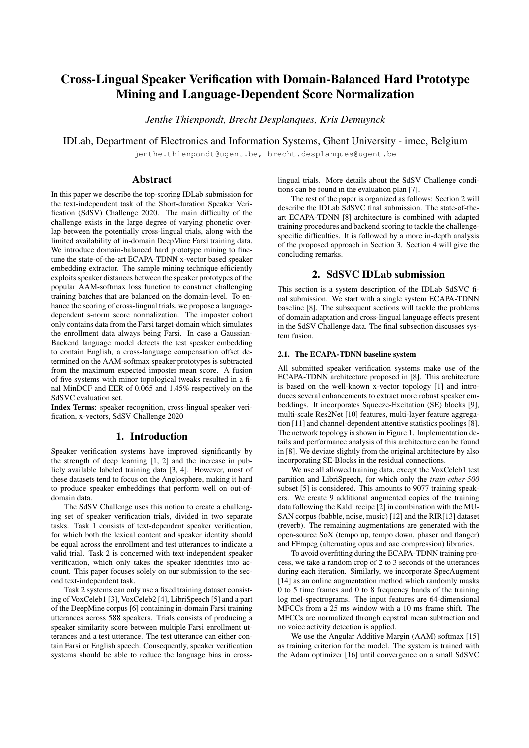# Cross-Lingual Speaker Verification with Domain-Balanced Hard Prototype Mining and Language-Dependent Score Normalization

*Jenthe Thienpondt, Brecht Desplanques, Kris Demuynck*

IDLab, Department of Electronics and Information Systems, Ghent University - imec, Belgium

jenthe.thienpondt@ugent.be, brecht.desplanques@ugent.be

# Abstract

In this paper we describe the top-scoring IDLab submission for the text-independent task of the Short-duration Speaker Verification (SdSV) Challenge 2020. The main difficulty of the challenge exists in the large degree of varying phonetic overlap between the potentially cross-lingual trials, along with the limited availability of in-domain DeepMine Farsi training data. We introduce domain-balanced hard prototype mining to finetune the state-of-the-art ECAPA-TDNN x-vector based speaker embedding extractor. The sample mining technique efficiently exploits speaker distances between the speaker prototypes of the popular AAM-softmax loss function to construct challenging training batches that are balanced on the domain-level. To enhance the scoring of cross-lingual trials, we propose a languagedependent s-norm score normalization. The imposter cohort only contains data from the Farsi target-domain which simulates the enrollment data always being Farsi. In case a Gaussian-Backend language model detects the test speaker embedding to contain English, a cross-language compensation offset determined on the AAM-softmax speaker prototypes is subtracted from the maximum expected imposter mean score. A fusion of five systems with minor topological tweaks resulted in a final MinDCF and EER of 0.065 and 1.45% respectively on the SdSVC evaluation set.

Index Terms: speaker recognition, cross-lingual speaker verification, x-vectors, SdSV Challenge 2020

# 1. Introduction

Speaker verification systems have improved significantly by the strength of deep learning [1, 2] and the increase in publicly available labeled training data [3, 4]. However, most of these datasets tend to focus on the Anglosphere, making it hard to produce speaker embeddings that perform well on out-ofdomain data.

The SdSV Challenge uses this notion to create a challenging set of speaker verification trials, divided in two separate tasks. Task 1 consists of text-dependent speaker verification, for which both the lexical content and speaker identity should be equal across the enrollment and test utterances to indicate a valid trial. Task 2 is concerned with text-independent speaker verification, which only takes the speaker identities into account. This paper focuses solely on our submission to the second text-independent task.

Task 2 systems can only use a fixed training dataset consisting of VoxCeleb1 [3], VoxCeleb2 [4], LibriSpeech [5] and a part of the DeepMine corpus [6] containing in-domain Farsi training utterances across 588 speakers. Trials consists of producing a speaker similarity score between multiple Farsi enrollment utterances and a test utterance. The test utterance can either contain Farsi or English speech. Consequently, speaker verification systems should be able to reduce the language bias in crosslingual trials. More details about the SdSV Challenge conditions can be found in the evaluation plan [7].

The rest of the paper is organized as follows: Section 2 will describe the IDLab SdSVC final submission. The state-of-theart ECAPA-TDNN [8] architecture is combined with adapted training procedures and backend scoring to tackle the challengespecific difficulties. It is followed by a more in-depth analysis of the proposed approach in Section 3. Section 4 will give the concluding remarks.

# 2. SdSVC IDLab submission

This section is a system description of the IDLab SdSVC final submission. We start with a single system ECAPA-TDNN baseline [8]. The subsequent sections will tackle the problems of domain adaptation and cross-lingual language effects present in the SdSV Challenge data. The final subsection discusses system fusion.

## 2.1. The ECAPA-TDNN baseline system

All submitted speaker verification systems make use of the ECAPA-TDNN architecture proposed in [8]. This architecture is based on the well-known x-vector topology [1] and introduces several enhancements to extract more robust speaker embeddings. It incorporates Squeeze-Excitation (SE) blocks [9], multi-scale Res2Net [10] features, multi-layer feature aggregation [11] and channel-dependent attentive statistics poolings [8]. The network topology is shown in Figure 1. Implementation details and performance analysis of this architecture can be found in [8]. We deviate slightly from the original architecture by also incorporating SE-Blocks in the residual connections.

We use all allowed training data, except the VoxCeleb1 test partition and LibriSpeech, for which only the *train-other-500* subset [5] is considered. This amounts to 9077 training speakers. We create 9 additional augmented copies of the training data following the Kaldi recipe [2] in combination with the MU-SAN corpus (babble, noise, music) [12] and the RIR[13] dataset (reverb). The remaining augmentations are generated with the open-source SoX (tempo up, tempo down, phaser and flanger) and FFmpeg (alternating opus and aac compression) libraries.

To avoid overfitting during the ECAPA-TDNN training process, we take a random crop of 2 to 3 seconds of the utterances during each iteration. Similarly, we incorporate SpecAugment [14] as an online augmentation method which randomly masks 0 to 5 time frames and 0 to 8 frequency bands of the training log mel-spectrograms. The input features are 64-dimensional MFCCs from a 25 ms window with a 10 ms frame shift. The MFCCs are normalized through cepstral mean subtraction and no voice activity detection is applied.

We use the Angular Additive Margin (AAM) softmax [15] as training criterion for the model. The system is trained with the Adam optimizer [16] until convergence on a small SdSVC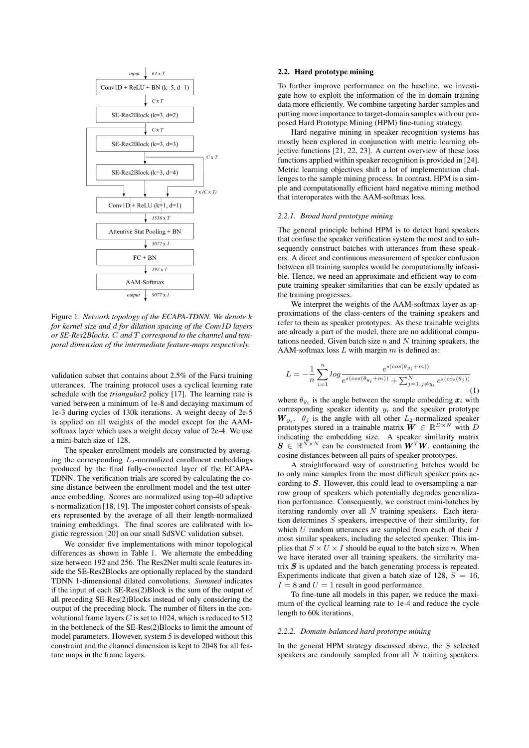

Figure 1: *Network topology of the ECAPA-TDNN. We denote* k *for kernel size and* d *for dilation spacing of the Conv1D layers or SE-Res2Blocks.* C *and* T *correspond to the channel and temporal dimension of the intermediate feature-maps respectively.*

validation subset that contains about 2.5% of the Farsi training utterances. The training protocol uses a cyclical learning rate schedule with the *triangular2* policy [17]. The learning rate is varied between a minimum of 1e-8 and decaying maximum of 1e-3 during cycles of 130k iterations. A weight decay of 2e-5 is applied on all weights of the model except for the AAMsoftmax layer which uses a weight decay value of 2e-4. We use a mini-batch size of 128.

The speaker enrollment models are constructed by averaging the corresponding  $L_2$ -normalized enrollment embeddings produced by the final fully-connected layer of the ECAPA-TDNN. The verification trials are scored by calculating the cosine distance between the enrollment model and the test utterance embedding. Scores are normalized using top-40 adaptive s-normalization [18, 19]. The imposter cohort consists of speakers represented by the average of all their length-normalized training embeddings. The final scores are calibrated with logistic regression [20] on our small SdSVC validation subset.

We consider five implementations with minor topological differences as shown in Table 1. We alternate the embedding size between 192 and 256. The Res2Net multi scale features inside the SE-Res2Blocks are optionally replaced by the standard TDNN 1-dimensional dilated convolutions. *Summed* indicates if the input of each SE-Res(2)Block is the sum of the output of all preceding SE-Res(2)Blocks instead of only considering the output of the preceding block. The number of filters in the convolutional frame layers  $C$  is set to 1024, which is reduced to 512 in the bottleneck of the SE-Res(2)Blocks to limit the amount of model parameters. However, system 5 is developed without this constraint and the channel dimension is kept to 2048 for all feature maps in the frame layers.

### 2.2. Hard prototype mining

To further improve performance on the baseline, we investigate how to exploit the information of the in-domain training data more efficiently. We combine targeting harder samples and putting more importance to target-domain samples with our proposed Hard Prototype Mining (HPM) fine-tuning strategy.

Hard negative mining in speaker recognition systems has mostly been explored in conjunction with metric learning objective functions [21, 22, 23]. A current overview of these loss functions applied within speaker recognition is provided in [24]. Metric learning objectives shift a lot of implementation challenges to the sample mining process. In contrast, HPM is a simple and computationally efficient hard negative mining method that interoperates with the AAM-softmax loss.

#### *2.2.1. Broad hard prototype mining*

The general principle behind HPM is to detect hard speakers that confuse the speaker verification system the most and to subsequently construct batches with utterances from these speakers. A direct and continuous measurement of speaker confusion between all training samples would be computationally infeasible. Hence, we need an approximate and efficient way to compute training speaker similarities that can be easily updated as the training progresses.

We interpret the weights of the AAM-softmax layer as approximations of the class-centers of the training speakers and refer to them as speaker prototypes. As these trainable weights are already a part of the model, there are no additional computations needed. Given batch size  $n$  and  $N$  training speakers, the AAM-softmax loss  $L$  with margin  $m$  is defined as:

$$
L = -\frac{1}{n} \sum_{i=1}^{n} \log \frac{e^{s(\cos(\theta_{y_i} + m))}}{e^{s(\cos(\theta_{y_i} + m))} + \sum_{j=1, j \neq y_i}^{N} e^{s(\cos(\theta_j))}}
$$
(1)

where  $\theta_{y_i}$  is the angle between the sample embedding  $\boldsymbol{x}_i$  with corresponding speaker identity  $y_i$  and the speaker prototype  $W_{y_i}$ .  $\theta_j$  is the angle with all other  $L_2$ -normalized speaker prototypes stored in a trainable matrix  $\mathbf{W} \in \mathbb{R}^{D \times N}$  with D indicating the embedding size. A speaker similarity matrix  $S \in \mathbb{R}^{N \times N}$  can be constructed from  $W^T W$ , containing the cosine distances between all pairs of speaker prototypes.

A straightforward way of constructing batches would be to only mine samples from the most difficult speaker pairs according to  $S$ . However, this could lead to oversampling a narrow group of speakers which potentially degrades generalization performance. Consequently, we construct mini-batches by iterating randomly over all  $N$  training speakers. Each iteration determines  $S$  speakers, irrespective of their similarity, for which  $U$  random utterances are sampled from each of their  $I$ most similar speakers, including the selected speaker. This implies that  $S \times U \times I$  should be equal to the batch size n. When we have iterated over all training speakers, the similarity matrix  $S$  is updated and the batch generating process is repeated. Experiments indicate that given a batch size of 128,  $S = 16$ ,  $I = 8$  and  $U = 1$  result in good performance.

To fine-tune all models in this paper, we reduce the maximum of the cyclical learning rate to 1e-4 and reduce the cycle length to 60k iterations.

#### *2.2.2. Domain-balanced hard prototype mining*

In the general HPM strategy discussed above, the  $S$  selected speakers are randomly sampled from all N training speakers.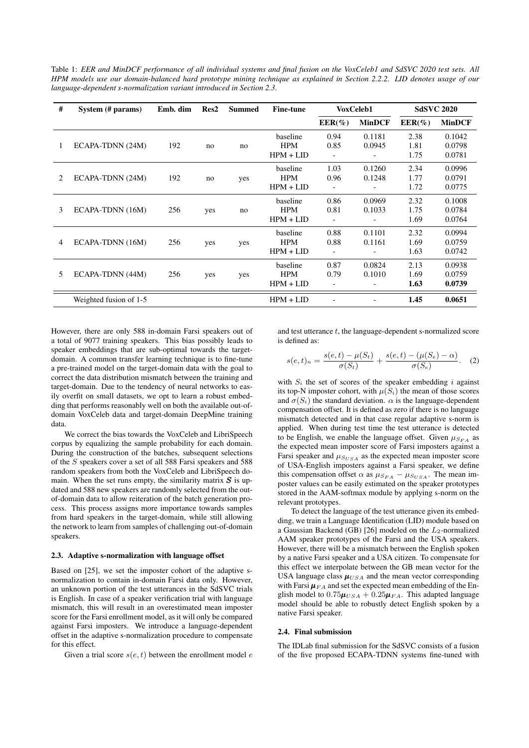Table 1: *EER and MinDCF performance of all individual systems and final fusion on the VoxCeleb1 and SdSVC 2020 test sets. All HPM models use our domain-balanced hard prototype mining technique as explained in Section 2.2.2. LID denotes usage of our language-dependent s-normalization variant introduced in Section 2.3.*

| # | System (# params)      | Emb. dim | Res2 | <b>Summed</b> | <b>Fine-tune</b> | VoxCeleb1      |               | <b>SdSVC 2020</b> |               |
|---|------------------------|----------|------|---------------|------------------|----------------|---------------|-------------------|---------------|
|   |                        |          |      |               |                  | $EER(\%)$      | <b>MinDCF</b> | $EER(\%)$         | <b>MinDCF</b> |
|   |                        |          |      |               | baseline         | 0.94           | 0.1181        | 2.38              | 0.1042        |
| 1 | ECAPA-TDNN (24M)       | 192      | no   | no            | <b>HPM</b>       | 0.85           | 0.0945        | 1.81              | 0.0798        |
|   |                        |          |      |               | $HPM + LID$      | $\overline{a}$ |               | 1.75              | 0.0781        |
|   |                        |          |      |               | baseline         | 1.03           | 0.1260        | 2.34              | 0.0996        |
| 2 | ECAPA-TDNN (24M)       | 192      | no   | yes           | <b>HPM</b>       | 0.96           | 0.1248        | 1.77              | 0.0791        |
|   |                        |          |      |               | $HPM + LID$      |                |               | 1.72              | 0.0775        |
|   |                        |          |      |               | baseline         | 0.86           | 0.0969        | 2.32              | 0.1008        |
| 3 | ECAPA-TDNN (16M)       | 256      | yes  | no            | <b>HPM</b>       | 0.81           | 0.1033        | 1.75              | 0.0784        |
|   |                        |          |      |               | $HPM + LID$      | $\overline{a}$ |               | 1.69              | 0.0764        |
|   |                        |          |      |               | baseline         | 0.88           | 0.1101        | 2.32              | 0.0994        |
| 4 | ECAPA-TDNN (16M)       | 256      | yes  | yes           | <b>HPM</b>       | 0.88           | 0.1161        | 1.69              | 0.0759        |
|   |                        |          |      |               | $HPM + LID$      | $\overline{a}$ |               | 1.63              | 0.0742        |
|   |                        |          |      |               | baseline         | 0.87           | 0.0824        | 2.13              | 0.0938        |
| 5 | ECAPA-TDNN (44M)       | 256      | yes  | yes           | <b>HPM</b>       | 0.79           | 0.1010        | 1.69              | 0.0759        |
|   |                        |          |      |               | $HPM + LID$      | $\overline{a}$ |               | 1.63              | 0.0739        |
|   | Weighted fusion of 1-5 |          |      |               | $HPM + LID$      |                |               | 1.45              | 0.0651        |

However, there are only 588 in-domain Farsi speakers out of a total of 9077 training speakers. This bias possibly leads to speaker embeddings that are sub-optimal towards the targetdomain. A common transfer learning technique is to fine-tune a pre-trained model on the target-domain data with the goal to correct the data distribution mismatch between the training and target-domain. Due to the tendency of neural networks to easily overfit on small datasets, we opt to learn a robust embedding that performs reasonably well on both the available out-ofdomain VoxCeleb data and target-domain DeepMine training data.

We correct the bias towards the VoxCeleb and LibriSpeech corpus by equalizing the sample probability for each domain. During the construction of the batches, subsequent selections of the S speakers cover a set of all 588 Farsi speakers and 588 random speakers from both the VoxCeleb and LibriSpeech domain. When the set runs empty, the similarity matrix  $S$  is updated and 588 new speakers are randomly selected from the outof-domain data to allow reiteration of the batch generation process. This process assigns more importance towards samples from hard speakers in the target-domain, while still allowing the network to learn from samples of challenging out-of-domain speakers.

#### 2.3. Adaptive s-normalization with language offset

Based on [25], we set the imposter cohort of the adaptive snormalization to contain in-domain Farsi data only. However, an unknown portion of the test utterances in the SdSVC trials is English. In case of a speaker verification trial with language mismatch, this will result in an overestimated mean imposter score for the Farsi enrollment model, as it will only be compared against Farsi imposters. We introduce a language-dependent offset in the adaptive s-normalization procedure to compensate for this effect.

Given a trial score  $s(e, t)$  between the enrollment model  $e$ 

and test utterance  $t$ , the language-dependent s-normalized score is defined as:

$$
s(e,t)_n = \frac{s(e,t) - \mu(S_t)}{\sigma(S_t)} + \frac{s(e,t) - (\mu(S_e) - \alpha)}{\sigma(S_e)}.
$$
 (2)

with  $S_i$  the set of scores of the speaker embedding i against its top-N imposter cohort, with  $\mu(S_i)$  the mean of those scores and  $\sigma(S_i)$  the standard deviation.  $\alpha$  is the language-dependent compensation offset. It is defined as zero if there is no language mismatch detected and in that case regular adaptive s-norm is applied. When during test time the test utterance is detected to be English, we enable the language offset. Given  $\mu_{SFA}$  as the expected mean imposter score of Farsi imposters against a Farsi speaker and  $\mu_{S_{USA}}$  as the expected mean imposter score of USA-English imposters against a Farsi speaker, we define this compensation offset  $\alpha$  as  $\mu_{SFA} - \mu_{SUSA}$ . The mean imposter values can be easily estimated on the speaker prototypes stored in the AAM-softmax module by applying s-norm on the relevant prototypes.

To detect the language of the test utterance given its embedding, we train a Language Identification (LID) module based on a Gaussian Backend (GB) [26] modeled on the  $L_2$ -normalized AAM speaker prototypes of the Farsi and the USA speakers. However, there will be a mismatch between the English spoken by a native Farsi speaker and a USA citizen. To compensate for this effect we interpolate between the GB mean vector for the USA language class  $\mu_{USA}$  and the mean vector corresponding with Farsi  $\mu_{FA}$  and set the expected mean embedding of the English model to  $0.75\mu_{USA} + 0.25\mu_{FA}$ . This adapted language model should be able to robustly detect English spoken by a native Farsi speaker.

#### 2.4. Final submission

The IDLab final submission for the SdSVC consists of a fusion of the five proposed ECAPA-TDNN systems fine-tuned with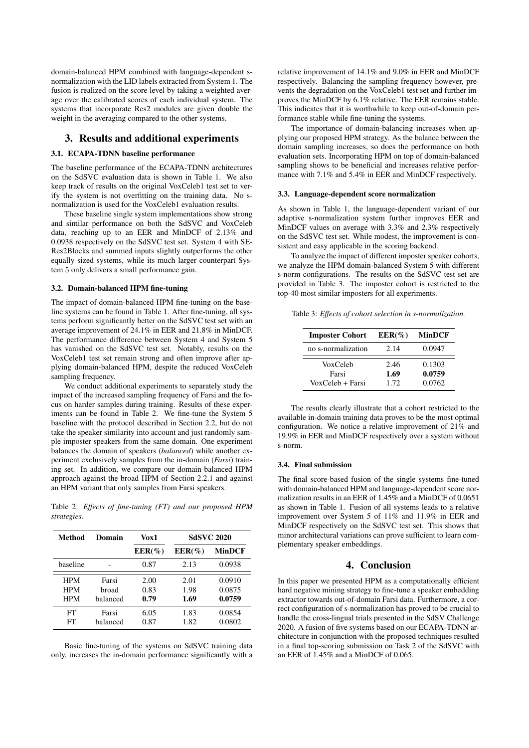domain-balanced HPM combined with language-dependent snormalization with the LID labels extracted from System 1. The fusion is realized on the score level by taking a weighted average over the calibrated scores of each individual system. The systems that incorporate Res2 modules are given double the weight in the averaging compared to the other systems.

# 3. Results and additional experiments

## 3.1. ECAPA-TDNN baseline performance

The baseline performance of the ECAPA-TDNN architectures on the SdSVC evaluation data is shown in Table 1. We also keep track of results on the original VoxCeleb1 test set to verify the system is not overfitting on the training data. No snormalization is used for the VoxCeleb1 evaluation results.

These baseline single system implementations show strong and similar performance on both the SdSVC and VoxCeleb data, reaching up to an EER and MinDCF of 2.13% and 0.0938 respectively on the SdSVC test set. System 4 with SE-Res2Blocks and summed inputs slightly outperforms the other equally sized systems, while its much larger counterpart System 5 only delivers a small performance gain.

#### 3.2. Domain-balanced HPM fine-tuning

The impact of domain-balanced HPM fine-tuning on the baseline systems can be found in Table 1. After fine-tuning, all systems perform significantly better on the SdSVC test set with an average improvement of 24.1% in EER and 21.8% in MinDCF. The performance difference between System 4 and System 5 has vanished on the SdSVC test set. Notably, results on the VoxCeleb1 test set remain strong and often improve after applying domain-balanced HPM, despite the reduced VoxCeleb sampling frequency.

We conduct additional experiments to separately study the impact of the increased sampling frequency of Farsi and the focus on harder samples during training. Results of these experiments can be found in Table 2. We fine-tune the System 5 baseline with the protocol described in Section 2.2, but do not take the speaker similarity into account and just randomly sample imposter speakers from the same domain. One experiment balances the domain of speakers (*balanced*) while another experiment exclusively samples from the in-domain (*Farsi*) training set. In addition, we compare our domain-balanced HPM approach against the broad HPM of Section 2.2.1 and against an HPM variant that only samples from Farsi speakers.

Table 2: *Effects of fine-tuning (FT) and our proposed HPM strategies.*

| Method     | Domain   | Vox1      | <b>SdSVC 2020</b> |               |  |
|------------|----------|-----------|-------------------|---------------|--|
|            |          | $EER(\%)$ | $EER(\%)$         | <b>MinDCF</b> |  |
| haseline   |          | 0.87      | 2.13              | 0.0938        |  |
| <b>HPM</b> | Farsi    | 2.00      | 2.01              | 0.0910        |  |
| HPM        | broad    | 0.83      | 1.98              | 0.0875        |  |
| <b>HPM</b> | balanced | 0.79      | 1.69              | 0.0759        |  |
| FT         | Farsi    | 6.05      | 1.83              | 0.0854        |  |
| FT         | halanced | 0.87      | 1.82              | 0.0802        |  |

Basic fine-tuning of the systems on SdSVC training data only, increases the in-domain performance significantly with a relative improvement of 14.1% and 9.0% in EER and MinDCF respectively. Balancing the sampling frequency however, prevents the degradation on the VoxCeleb1 test set and further improves the MinDCF by 6.1% relative. The EER remains stable. This indicates that it is worthwhile to keep out-of-domain performance stable while fine-tuning the systems.

The importance of domain-balancing increases when applying our proposed HPM strategy. As the balance between the domain sampling increases, so does the performance on both evaluation sets. Incorporating HPM on top of domain-balanced sampling shows to be beneficial and increases relative performance with 7.1% and 5.4% in EER and MinDCF respectively.

#### 3.3. Language-dependent score normalization

As shown in Table 1, the language-dependent variant of our adaptive s-normalization system further improves EER and MinDCF values on average with 3.3% and 2.3% respectively on the SdSVC test set. While modest, the improvement is consistent and easy applicable in the scoring backend.

To analyze the impact of different imposter speaker cohorts, we analyze the HPM domain-balanced System 5 with different s-norm configurations. The results on the SdSVC test set are provided in Table 3. The imposter cohort is restricted to the top-40 most similar imposters for all experiments.

Table 3: *Effects of cohort selection in s-normalization.*

| <b>Imposter Cohort</b>                | $EER(\%)$            | <b>MinDCF</b>              |
|---------------------------------------|----------------------|----------------------------|
| no s-normalization                    | 2.14                 | 0.0947                     |
| VoxCeleb<br>Farsi<br>VoxCeleb + Farsi | 2.46<br>1.69<br>1.72 | 0.1303<br>0.0759<br>0.0762 |

The results clearly illustrate that a cohort restricted to the available in-domain training data proves to be the most optimal configuration. We notice a relative improvement of 21% and 19.9% in EER and MinDCF respectively over a system without s-norm.

#### 3.4. Final submission

The final score-based fusion of the single systems fine-tuned with domain-balanced HPM and language-dependent score normalization results in an EER of 1.45% and a MinDCF of 0.0651 as shown in Table 1. Fusion of all systems leads to a relative improvement over System 5 of 11% and 11.9% in EER and MinDCF respectively on the SdSVC test set. This shows that minor architectural variations can prove sufficient to learn complementary speaker embeddings.

# 4. Conclusion

In this paper we presented HPM as a computationally efficient hard negative mining strategy to fine-tune a speaker embedding extractor towards out-of-domain Farsi data. Furthermore, a correct configuration of s-normalization has proved to be crucial to handle the cross-lingual trials presented in the SdSV Challenge 2020. A fusion of five systems based on our ECAPA-TDNN architecture in conjunction with the proposed techniques resulted in a final top-scoring submission on Task 2 of the SdSVC with an EER of 1.45% and a MinDCF of 0.065.